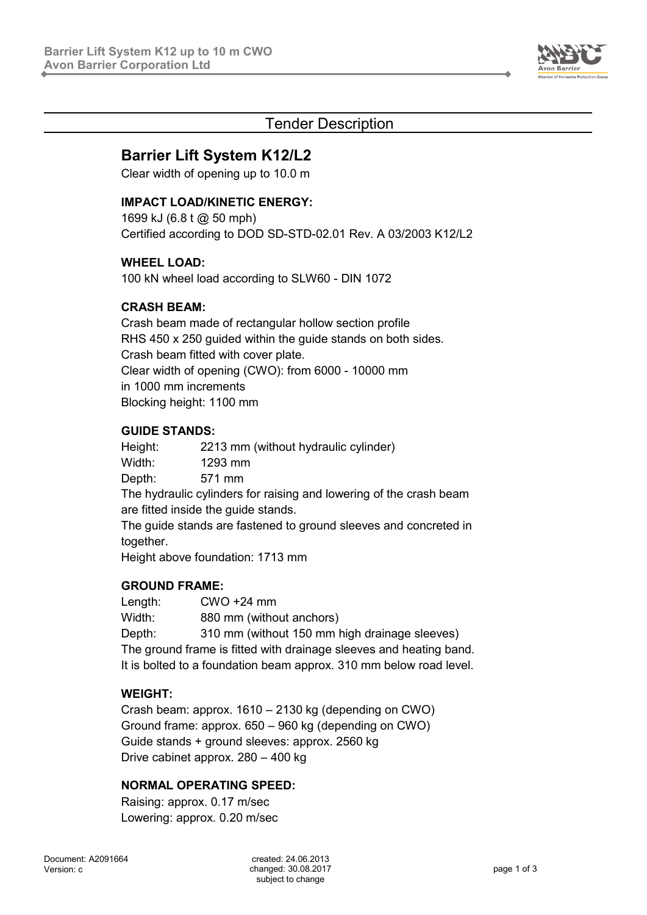

# Tender Description

# **Barrier Lift System K12/L2**

Clear width of opening up to 10.0 m

#### **IMPACT LOAD/KINETIC ENERGY:**

1699 kJ (6.8 t @ 50 mph) Certified according to DOD SD-STD-02.01 Rev. A 03/2003 K12/L2

#### **WHEEL LOAD:**

100 kN wheel load according to SLW60 - DIN 1072

### **CRASH BEAM:**

Crash beam made of rectangular hollow section profile RHS 450 x 250 guided within the guide stands on both sides. Crash beam fitted with cover plate. Clear width of opening (CWO): from 6000 - 10000 mm in 1000 mm increments Blocking height: 1100 mm

### **GUIDE STANDS:**

Height: 2213 mm (without hydraulic cylinder) Width: 1293 mm Depth: 571 mm The hydraulic cylinders for raising and lowering of the crash beam are fitted inside the guide stands. The guide stands are fastened to ground sleeves and concreted in together.

Height above foundation: 1713 mm

#### **GROUND FRAME:**

Length: CWO +24 mm Width: 880 mm (without anchors) Depth: 310 mm (without 150 mm high drainage sleeves) The ground frame is fitted with drainage sleeves and heating band. It is bolted to a foundation beam approx. 310 mm below road level.

## **WEIGHT:**

Crash beam: approx. 1610 – 2130 kg (depending on CWO) Ground frame: approx. 650 – 960 kg (depending on CWO) Guide stands + ground sleeves: approx. 2560 kg Drive cabinet approx. 280 – 400 kg

## **NORMAL OPERATING SPEED:**

Raising: approx. 0.17 m/sec Lowering: approx. 0.20 m/sec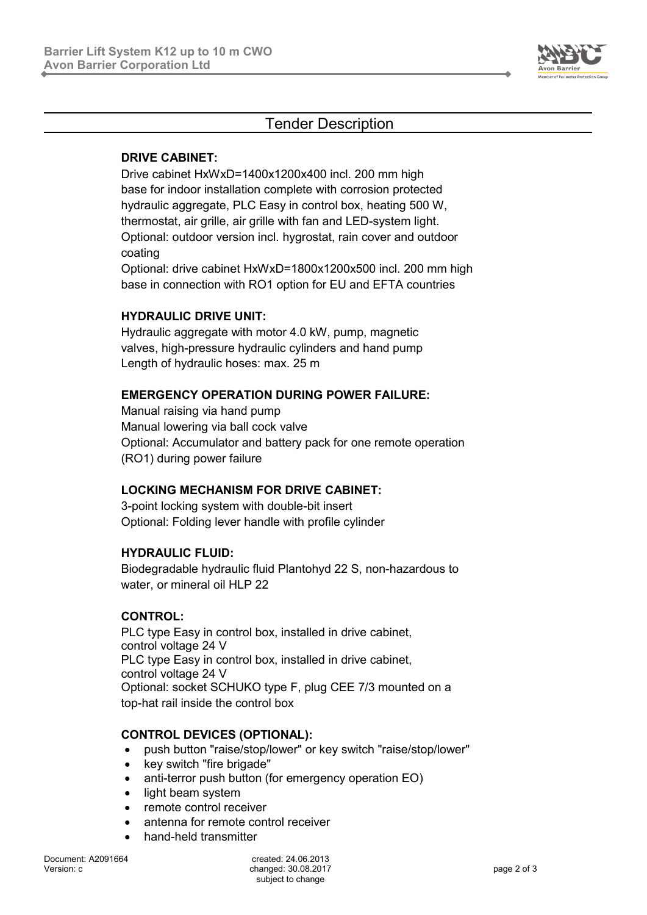

# Tender Description

### **DRIVE CABINET:**

Drive cabinet HxWxD=1400x1200x400 incl. 200 mm high base for indoor installation complete with corrosion protected hydraulic aggregate, PLC Easy in control box, heating 500 W, thermostat, air grille, air grille with fan and LED-system light. Optional: outdoor version incl. hygrostat, rain cover and outdoor coating

Optional: drive cabinet HxWxD=1800x1200x500 incl. 200 mm high base in connection with RO1 option for EU and EFTA countries

### **HYDRAULIC DRIVE UNIT:**

Hydraulic aggregate with motor 4.0 kW, pump, magnetic valves, high-pressure hydraulic cylinders and hand pump Length of hydraulic hoses: max. 25 m

#### **EMERGENCY OPERATION DURING POWER FAILURE:**

Manual raising via hand pump Manual lowering via ball cock valve Optional: Accumulator and battery pack for one remote operation (RO1) during power failure

## **LOCKING MECHANISM FOR DRIVE CABINET:**

3-point locking system with double-bit insert Optional: Folding lever handle with profile cylinder

#### **HYDRAULIC FLUID:**

Biodegradable hydraulic fluid Plantohyd 22 S, non-hazardous to water, or mineral oil HLP 22

#### **CONTROL:**

PLC type Easy in control box, installed in drive cabinet, control voltage 24 V PLC type Easy in control box, installed in drive cabinet, control voltage 24 V Optional: socket SCHUKO type F, plug CEE 7/3 mounted on a top-hat rail inside the control box

#### **CONTROL DEVICES (OPTIONAL):**

- push button "raise/stop/lower" or key switch "raise/stop/lower"
- key switch "fire brigade"
- anti-terror push button (for emergency operation EO)
- light beam system
- remote control receiver
- antenna for remote control receiver
- hand-held transmitter